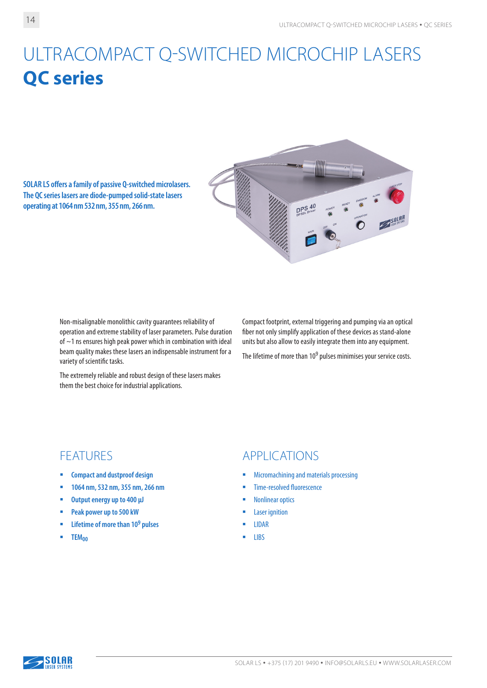## ULTRACOMPACT Q-SWITCHED MICROCHIP LASERS **QC series**

**SOLAR LS offers a family of passive Q-switched microlasers. The QC series lasers are diode-pumped solid-state lasers operating at 1064nm 532nm, 355nm, 266nm.**



Non-misalignable monolithic cavity guarantees reliability of operation and extreme stability of laser parameters. Pulse duration of  $\sim$  1 ns ensures high peak power which in combination with ideal beam quality makes these lasers an indispensable instrument for a variety of scientific tasks.

The extremely reliable and robust design of these lasers makes them the best choice for industrial applications.

Compact footprint, external triggering and pumping via an optical fiber not only simplify application of these devices as stand-alone units but also allow to easily integrate them into any equipment.

The lifetime of more than 10<sup>9</sup> pulses minimises your service costs.

- **Compact and dustproof design**
- **1064 nm, 532 nm, 355 nm, 266 nm**
- **Output energy up to 400 µJ**
- **Peak power up to 500 kW**
- **Lifetime of more than 109 pulses**
- **ТЕМ<sub>00</sub>**

## FEATURES APPLICATIONS

- **Micromachining and materials processing**
- **Time-resolved fluorescence**
- **Nonlinear optics**
- Laser ignition
- **LIDAR**
- LIBS